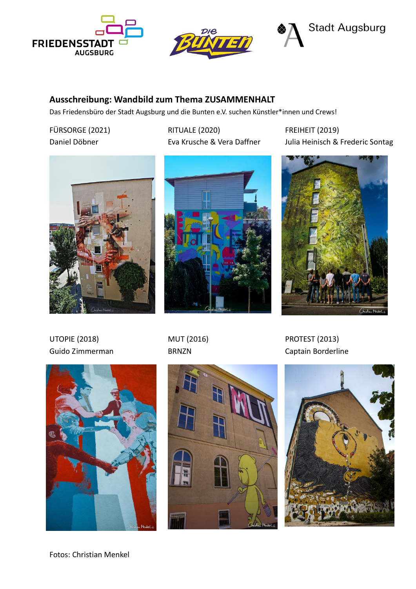



# **Ausschreibung: Wandbild zum Thema ZUSAMMENHALT**

Das Friedensbüro der Stadt Augsburg und die Bunten e.V. suchen Künstler\*innen und Crews!

FÜRSORGE (2021) Daniel Döbner

RITUALE (2020) Eva Krusche & Vera Daffner FREIHEIT (2019) Julia Heinisch & Frederic Sontag







UTOPIE (2018) Guido Zimmerman







PROTEST (2013) Captain Borderline

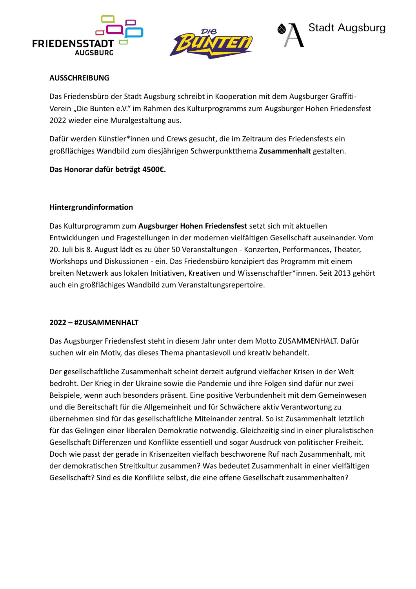



# **AUSSCHREIBUNG**

Das Friedensbüro der Stadt Augsburg schreibt in Kooperation mit dem Augsburger Graffiti-Verein "Die Bunten e.V." im Rahmen des Kulturprogramms zum Augsburger Hohen Friedensfest 2022 wieder eine Muralgestaltung aus.

Dafür werden Künstler\*innen und Crews gesucht, die im Zeitraum des Friedensfests ein großflächiges Wandbild zum diesjährigen Schwerpunktthema **Zusammenhalt** gestalten.

## **Das Honorar dafür beträgt 4500€.**

## **Hintergrundinformation**

Das Kulturprogramm zum **Augsburger Hohen Friedensfest** setzt sich mit aktuellen Entwicklungen und Fragestellungen in der modernen vielfältigen Gesellschaft auseinander. Vom 20. Juli bis 8. August lädt es zu über 50 Veranstaltungen - Konzerten, Performances, Theater, Workshops und Diskussionen - ein. Das Friedensbüro konzipiert das Programm mit einem breiten Netzwerk aus lokalen Initiativen, Kreativen und Wissenschaftler\*innen. Seit 2013 gehört auch ein großflächiges Wandbild zum Veranstaltungsrepertoire.

#### **2022 – #ZUSAMMENHALT**

Das Augsburger Friedensfest steht in diesem Jahr unter dem Motto ZUSAMMENHALT. Dafür suchen wir ein Motiv, das dieses Thema phantasievoll und kreativ behandelt.

Der gesellschaftliche Zusammenhalt scheint derzeit aufgrund vielfacher Krisen in der Welt bedroht. Der Krieg in der Ukraine sowie die Pandemie und ihre Folgen sind dafür nur zwei Beispiele, wenn auch besonders präsent. Eine positive Verbundenheit mit dem Gemeinwesen und die Bereitschaft für die Allgemeinheit und für Schwächere aktiv Verantwortung zu übernehmen sind für das gesellschaftliche Miteinander zentral. So ist Zusammenhalt letztlich für das Gelingen einer liberalen Demokratie notwendig. Gleichzeitig sind in einer pluralistischen Gesellschaft Differenzen und Konflikte essentiell und sogar Ausdruck von politischer Freiheit. Doch wie passt der gerade in Krisenzeiten vielfach beschworene Ruf nach Zusammenhalt, mit der demokratischen Streitkultur zusammen? Was bedeutet Zusammenhalt in einer vielfältigen Gesellschaft? Sind es die Konflikte selbst, die eine offene Gesellschaft zusammenhalten?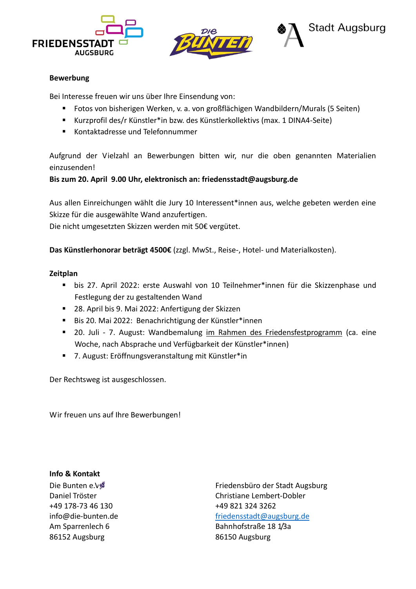





#### **Bewerbung**

Bei Interesse freuen wir uns über Ihre Einsendung von:

- Fotos von bisherigen Werken, v. a. von großflächigen Wandbildern/Murals (5 Seiten)
- Kurzprofil des/r Künstler\*in bzw. des Künstlerkollektivs (max. 1 DINA4-Seite)
- Kontaktadresse und Telefonnummer

Aufgrund der Vielzahl an Bewerbungen bitten wir, nur die oben genannten Materialien einzusenden!

# **Bis zum 20. April 9.00 Uhr, elektronisch an: [friedensstadt@augsburg.de](mailto:friedensstadt@augsburg.de)**

Aus allen Einreichungen wählt die Jury 10 Interessent\*innen aus, welche gebeten werden eine Skizze für die ausgewählte Wand anzufertigen.

Die nicht umgesetzten Skizzen werden mit 50€ vergütet.

**Das Künstlerhonorar beträgt 4500€** (zzgl. MwSt., Reise-, Hotel- und Materialkosten).

#### **Zeitplan**

- bis 27. April 2022: erste Auswahl von 10 Teilnehmer\*innen für die Skizzenphase und Festlegung der zu gestaltenden Wand
- 28. April bis 9. Mai 2022: Anfertigung der Skizzen
- Bis 20. Mai 2022: Benachrichtigung der Künstler\*innen
- 20. Juli 7. August: Wandbemalung im Rahmen des Friedensfestprogramm (ca. eine Woche, nach Absprache und Verfügbarkeit der Künstler\*innen)
- 7. August: Eröffnungsveranstaltung mit Künstler\*in

Der Rechtsweg ist ausgeschlossen.

Wir freuen uns auf Ihre Bewerbungen!

**Info & Kontakt** Die Bunten e.V Daniel Tröster +49 178-73 46 130 [info@die-bunten.de](mailto:info@die-bunten.de) Am Sparrenlech 6 86152 Augsburg

Friedensbüro der Stadt Augsburg Christiane Lembert-Dobler +49 821 324 3262 [friedensstadt@augsburg.de](mailto:friedensstadt@augsburg.de) Bahnhofstraße 18 1/3a 86150 Augsburg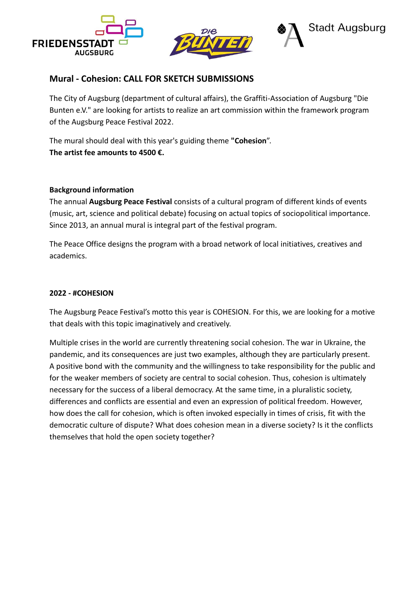



# **Mural - Cohesion: CALL FOR SKETCH SUBMISSIONS**

The City of Augsburg (department of cultural affairs), the Graffiti-Association of Augsburg "Die Bunten e.V." are looking for artists to realize an art commission within the framework program of the Augsburg Peace Festival 2022.

The mural should deal with this year's guiding theme **"Cohesion**". **The artist fee amounts to 4500 €.**

#### **Background information**

The annual **Augsburg Peace Festival** consists of a cultural program of different kinds of events (music, art, science and political debate) focusing on actual topics of sociopolitical importance. Since 2013, an annual mural is integral part of the festival program.

The Peace Office designs the program with a broad network of local initiatives, creatives and academics.

#### **2022 - #COHESION**

The Augsburg Peace Festival's motto this year is COHESION. For this, we are looking for a motive that deals with this topic imaginatively and creatively.

Multiple crises in the world are currently threatening social cohesion. The war in Ukraine, the pandemic, and its consequences are just two examples, although they are particularly present. A positive bond with the community and the willingness to take responsibility for the public and for the weaker members of society are central to social cohesion. Thus, cohesion is ultimately necessary for the success of a liberal democracy. At the same time, in a pluralistic society, differences and conflicts are essential and even an expression of political freedom. However, how does the call for cohesion, which is often invoked especially in times of crisis, fit with the democratic culture of dispute? What does cohesion mean in a diverse society? Is it the conflicts themselves that hold the open society together?